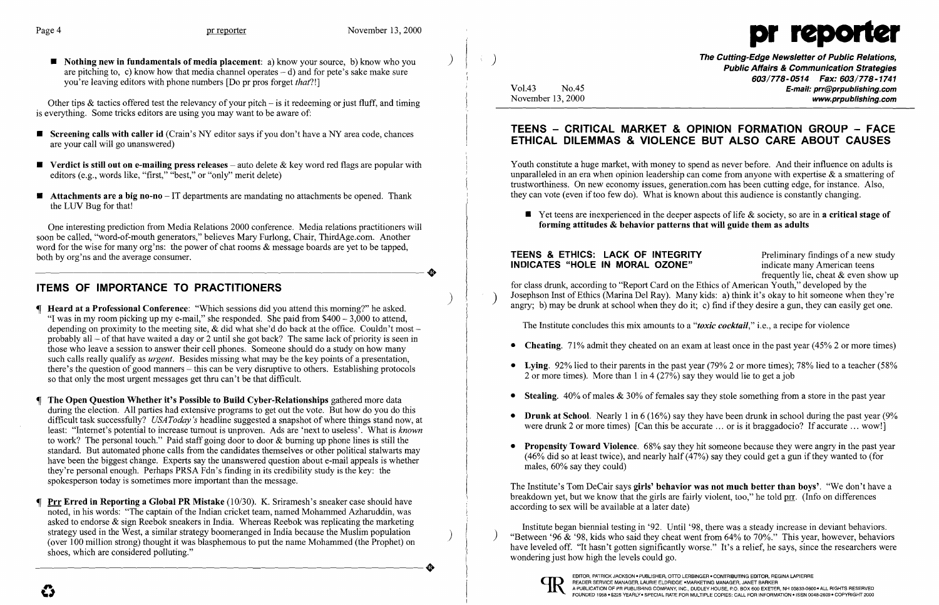

 $\blacksquare$  Nothing new in fundamentals of media placement: a) know your source, b) know who you are pitching to, c) know how that media channel operates  $- d$ ) and for pete's sake make sure you're leaving editors with phone numbers [Do pr pros forget *that?!]* 

Other tips & tactics offered test the relevancy of your pitch  $-$  is it redeeming or just fluff, and timing is everything. Some tricks editors are using you may want to be aware of:

- **Screening calls with caller id** (Crain's NY editor says if you don't have a NY area code, chances are your call will go unanswered)
- **•** Verdict is still out on e-mailing press releases auto delete  $\&$  key word red flags are popular with editors (e.g., words like, "first," "best," or "only" merit delete)
- $\blacksquare$  Attachments are a big no-no IT departments are mandating no attachments be opened. Thank the LUV Bug for that!

One interesting prediction from Media Relations 2000 conference. Media relations practitioners will soon be called, "word-of-mouth generators," believes Mary Furlong, Chair, ThirdAge.com. Another word for the wise for many org'ns: the power of chat rooms & message boards are yet to be tapped, both by org'ns and the average consumer. both by org'ns and the average consumer.

# ITEMS OF IMPORTANCE TO PRACTITIONERS

- $\blacksquare$  **Heard at a Professional Conference:** "Which sessions did you attend this morning?" he asked. "I was in my room picking up my e-mail," she responded. She paid from  $$400 - 3,000$  to attend, depending on proximity to the meeting site,  $\&$  did what she'd do back at the office. Couldn't most – probably all  $-$  of that have waited a day or 2 until she got back? The same lack of priority is seen in those who leave a session to answer their cell phones. Someone should do a study on how many such calls really qualify as *urgent.* Besides missing what may be the key points of a presentation, there's the question of good manners  $-$  this can be very disruptive to others. Establishing protocols so that only the most urgent messages get thru can't be that difficult.
- The Open Question Whether it's Possible to Build Cyber-Relationships gathered more data during the election. All parties had extensive programs to get out the vote. But how do you do this difficult task successfully? *USAToday* '8 headline suggested a snapshot of where things stand now, at least: "Internet's potential to increase turnout is unproven. Ads are 'next to useless'. What is *known*  to work? The personal touch." Paid staff going door to door & burning up phone lines is still the standard. But automated phone calls from the candidates themselves or other political stalwarts may have been the biggest change. Experts say the unanswered question about e-mail appeals is whether they're personal enough. Perhaps PRSA Fdn's finding in its credibility study is the key: the spokesperson today is sometimes more important than the message.
- Prr Erred in Reporting a Global PR Mistake (10/30). K. Sriramesh's sneaker case should have noted, in his words: "The captain of the Indian cricket team, named Mohammed Azharuddin, was asked to endorse  $\&$  sign Reebok sneakers in India. Whereas Reebok was replicating the marketing strategy used in the West, a similar strategy boomeranged in India because the Muslim population strategy used in the West, a similar strategy boomeranged in India because the Muslim population (over 100 million strong) thought it was blasphemous to put the name Mohammed (the Prophet) on shoes, which are considered polluting." (over 100 million strong) thought it was blasphemous to put the name Mohammed (the Prophet) on shoes, which are considered polluting."

The Cutting~Edge Newsletter of Public Relations, ) Public Affairs & Communication Strategies 603/778-0514 Fax: 603/778-1741 Vol.43 No.45 No.45<br>November 13, 2000 www.prpublishing.com

 $\blacksquare$  Yet teens are inexperienced in the deeper aspects of life & society, so are in a critical stage of

• Propensity Toward Violence. 68% say they hit someone because they were angry in the past year (46% did so at least twice), and nearly half (47%) say they could get a gun if they wanted to (for

- 
- 2 or more times). More than 1 in 4 (27%) say they would lie to get a job
- 
- 
- males, 60% say they could)

e

# TEENS - CRITICAL MARKET & OPINION FORMATION GROUP - FACE ETHICAL DILEMMAS & VIOLENCE BUT ALSO CARE ABOUT CAUSES

Youth constitute a huge market, with money to spend as never before. And their influence on adults is unparalleled in an era when opinion leadership can come from anyone with expertise  $\&$  a smattering of trustworthiness. On new economy issues, generation.com has been cutting edge, for instance. Also, they can vote (even if too few do). What is known about this audience is constantly changing.

forming attitudes & behavior patterns that will guide them as adults

### **TEENS & ETHICS: LACK OF INTEGRITY** Preliminary findings of a new study **INDICATES** "HOLE IN MORAL OZONE" indicate many American teens INDICATES "HOLE IN MORAL OZONE"

for class drunk, according to "Report Card on the Ethics of American Youth," developed by the Josephson Inst of Ethics (Marina Del Ray). Many kids: a) think it's okay to hit someone when they're angry; b) may be drunk at school when they do it; c) find if they desire a gun, they can easily get one.

frequently lie, cheat & even show up

• Cheating. 71% admit they cheated on an exam at least once in the past year (45% 2 or more times)

• Lying. 92% lied to their parents in the past year (79% 2 or more times); 78% lied to a teacher (58%

• Stealing.  $40\%$  of males & 30% of females say they stole something from a store in the past year

• Drunk at School. Nearly 1 in  $6(16%)$  say they have been drunk in school during the past year (9%) were drunk 2 or more times) [Can this be accurate ... or is it braggadocio? If accurate ... wow!]

The Institute concludes this mix amounts to a *"toxic cocktail,"* i.e., a recipe for violence

The Institute's Tom DeCair says girls' behavior was not much better than boys'. "We don't have a breakdown yet, but we know that the girls are fairly violent, too," he told prr. (Info on differences according to sex will be available at a later date)

Institute began biennial testing in '92. Until '98, there was a steady increase in deviant behaviors. "Between '96  $\&$  '98, kids who said they cheat went from 64% to 70%." This year, however, behaviors have leveled off. "It hasn't gotten significantly worse." It's a relief, he says, since the researchers were wondering just how high the levels could go.